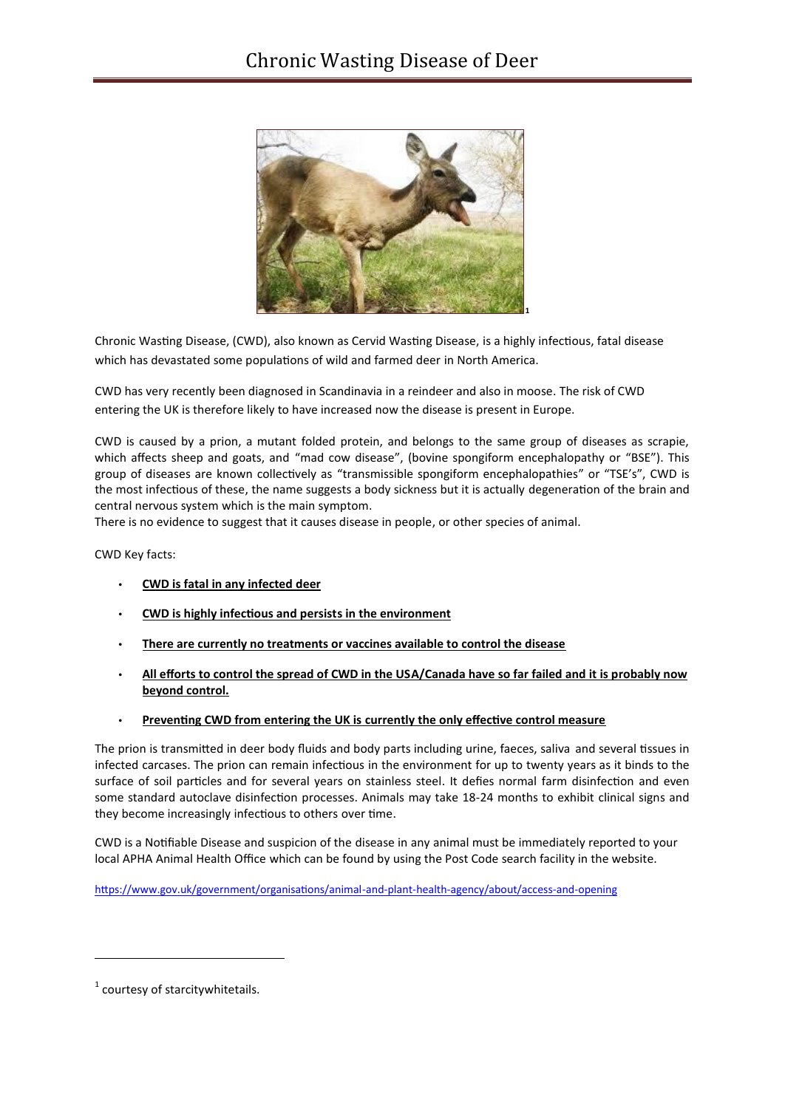

Chronic Wasting Disease, (CWD), also known as Cervid Wasting Disease, is a highly infectious, fatal disease which has devastated some populations of wild and farmed deer in North America.

CWD has very recently been diagnosed in Scandinavia in a reindeer and also in moose. The risk of CWD entering the UK is therefore likely to have increased now the disease is present in Europe.

CWD is caused by a prion, a mutant folded protein, and belongs to the same group of diseases as scrapie, which affects sheep and goats, and "mad cow disease", (bovine spongiform encephalopathy or "BSE"). This group of diseases are known collectively as "transmissible spongiform encephalopathies" or "TSE's", CWD is the most infectious of these, the name suggests a body sickness but it is actually degeneration of the brain and central nervous system which is the main symptom.

There is no evidence to suggest that it causes disease in people, or other species of animal.

CWD Key facts:

- **CWD is fatal in any infected deer**
- **CWD is highly infectious and persists in the environment**
- **There are currently no treatments or vaccines available to control the disease**
- **All efforts to control the spread of CWD in the USA/Canada have so far failed and it is probably now beyond control.**
- **Preventing CWD from entering the UK is currently the only effective control measure**

The prion is transmitted in deer body fluids and body parts including urine, faeces, saliva and several tissues in infected carcases. The prion can remain infectious in the environment for up to twenty years as it binds to the surface of soil particles and for several years on stainless steel. It defies normal farm disinfection and even some standard autoclave disinfection processes. Animals may take 18-24 months to exhibit clinical signs and they become increasingly infectious to others over time.

CWD is a Notifiable Disease and suspicion of the disease in any animal must be immediately reported to your local APHA Animal Health Office which can be found by using the Post Code search facility in the website.

https://www.gov.uk/government/organisations/animal-and-plant-health-agency/about/access-and-opening

<u>.</u>

 $1$  courtesy of starcitywhitetails.